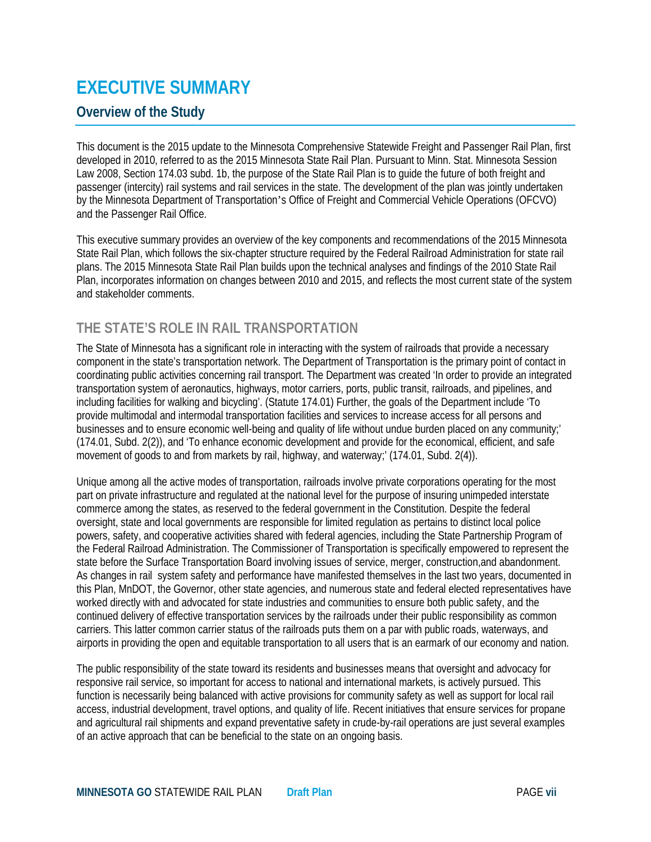# **EXECUTIVE SUMMARY**

## **Overview of the Study**

This document is the 2015 update to the Minnesota Comprehensive Statewide Freight and Passenger Rail Plan, first developed in 2010, referred to as the 2015 Minnesota State Rail Plan. Pursuant to Minn. Stat. Minnesota Session Law 2008, Section 174.03 subd. 1b, the purpose of the State Rail Plan is to guide the future of both freight and passenger (intercity) rail systems and rail services in the state. The development of the plan was jointly undertaken by the Minnesota Department of Transportation's Office of Freight and Commercial Vehicle Operations (OFCVO) and the Passenger Rail Office.

This executive summary provides an overview of the key components and recommendations of the 2015 Minnesota State Rail Plan, which follows the six-chapter structure required by the Federal Railroad Administration for state rail plans. The 2015 Minnesota State Rail Plan builds upon the technical analyses and findings of the 2010 State Rail Plan, incorporates information on changes between 2010 and 2015, and reflects the most current state of the system and stakeholder comments.

# **THE STATE'S ROLE IN RAIL TRANSPORTATION**

The State of Minnesota has a significant role in interacting with the system of railroads that provide a necessary component in the state's transportation network. The Department of Transportation is the primary point of contact in coordinating public activities concerning rail transport. The Department was created 'In order to provide an integrated transportation system of aeronautics, highways, motor carriers, ports, public transit, railroads, and pipelines, and including facilities for walking and bicycling'. (Statute 174.01) Further, the goals of the Department include 'To provide multimodal and intermodal transportation facilities and services to increase access for all persons and businesses and to ensure economic well-being and quality of life without undue burden placed on any community;' (174.01, Subd. 2(2)), and 'To enhance economic development and provide for the economical, efficient, and safe movement of goods to and from markets by rail, highway, and waterway;' (174.01, Subd. 2(4)).

Unique among all the active modes of transportation, railroads involve private corporations operating for the most part on private infrastructure and regulated at the national level for the purpose of insuring unimpeded interstate commerce among the states, as reserved to the federal government in the Constitution. Despite the federal oversight, state and local governments are responsible for limited regulation as pertains to distinct local police powers, safety, and cooperative activities shared with federal agencies, including the State Partnership Program of the Federal Railroad Administration. The Commissioner of Transportation is specifically empowered to represent the state before the Surface Transportation Board involving issues of service, merger, construction,and abandonment. As changes in rail system safety and performance have manifested themselves in the last two years, documented in this Plan, MnDOT, the Governor, other state agencies, and numerous state and federal elected representatives have worked directly with and advocated for state industries and communities to ensure both public safety, and the continued delivery of effective transportation services by the railroads under their public responsibility as common carriers. This latter common carrier status of the railroads puts them on a par with public roads, waterways, and airports in providing the open and equitable transportation to all users that is an earmark of our economy and nation.

The public responsibility of the state toward its residents and businesses means that oversight and advocacy for responsive rail service, so important for access to national and international markets, is actively pursued. This function is necessarily being balanced with active provisions for community safety as well as support for local rail access, industrial development, travel options, and quality of life. Recent initiatives that ensure services for propane and agricultural rail shipments and expand preventative safety in crude-by-rail operations are just several examples of an active approach that can be beneficial to the state on an ongoing basis.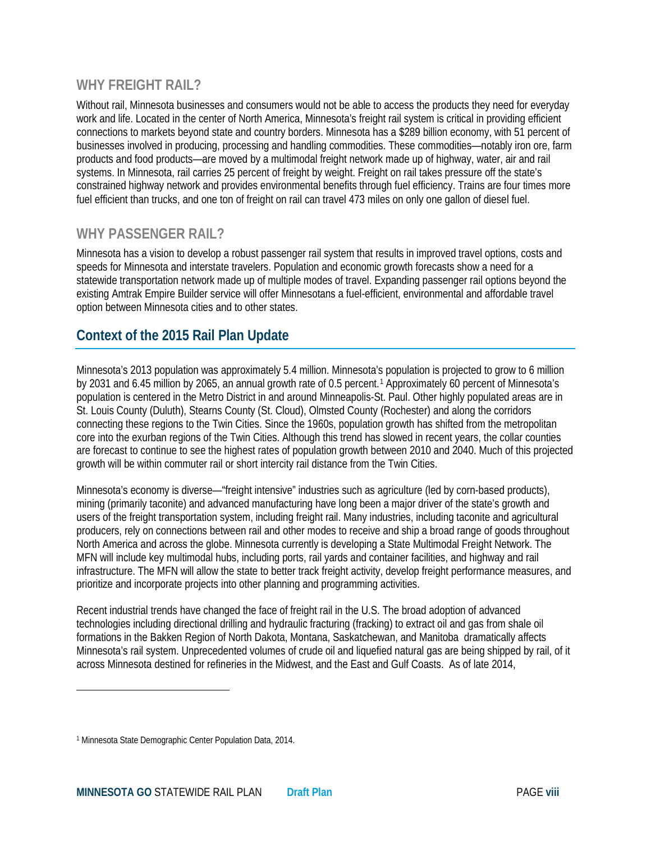#### **WHY FREIGHT RAIL?**

Without rail, Minnesota businesses and consumers would not be able to access the products they need for everyday work and life. Located in the center of North America, Minnesota's freight rail system is critical in providing efficient connections to markets beyond state and country borders. Minnesota has a \$289 billion economy, with 51 percent of businesses involved in producing, processing and handling commodities. These commodities—notably iron ore, farm products and food products—are moved by a multimodal freight network made up of highway, water, air and rail systems. In Minnesota, rail carries 25 percent of freight by weight. Freight on rail takes pressure off the state's constrained highway network and provides environmental benefits through fuel efficiency. Trains are four times more fuel efficient than trucks, and one ton of freight on rail can travel 473 miles on only one gallon of diesel fuel.

#### **WHY PASSENGER RAIL?**

Minnesota has a vision to develop a robust passenger rail system that results in improved travel options, costs and speeds for Minnesota and interstate travelers. Population and economic growth forecasts show a need for a statewide transportation network made up of multiple modes of travel. Expanding passenger rail options beyond the existing Amtrak Empire Builder service will offer Minnesotans a fuel-efficient, environmental and affordable travel option between Minnesota cities and to other states.

### **Context of the 2015 Rail Plan Update**

Minnesota's 2013 population was approximately 5.4 million. Minnesota's population is projected to grow to 6 million by 203[1](#page-1-0) and 6.45 million by 2065, an annual growth rate of 0.5 percent.<sup>1</sup> Approximately 60 percent of Minnesota's population is centered in the Metro District in and around Minneapolis-St. Paul. Other highly populated areas are in St. Louis County (Duluth), Stearns County (St. Cloud), Olmsted County (Rochester) and along the corridors connecting these regions to the Twin Cities. Since the 1960s, population growth has shifted from the metropolitan core into the exurban regions of the Twin Cities. Although this trend has slowed in recent years, the collar counties are forecast to continue to see the highest rates of population growth between 2010 and 2040. Much of this projected growth will be within commuter rail or short intercity rail distance from the Twin Cities.

Minnesota's economy is diverse—"freight intensive" industries such as agriculture (led by corn-based products), mining (primarily taconite) and advanced manufacturing have long been a major driver of the state's growth and users of the freight transportation system, including freight rail. Many industries, including taconite and agricultural producers, rely on connections between rail and other modes to receive and ship a broad range of goods throughout North America and across the globe. Minnesota currently is developing a State Multimodal Freight Network. The MFN will include key multimodal hubs, including ports, rail yards and container facilities, and highway and rail infrastructure. The MFN will allow the state to better track freight activity, develop freight performance measures, and prioritize and incorporate projects into other planning and programming activities.

Recent industrial trends have changed the face of freight rail in the U.S. The broad adoption of advanced technologies including directional drilling and hydraulic fracturing (fracking) to extract oil and gas from shale oil formations in the Bakken Region of North Dakota, Montana, Saskatchewan, and Manitoba dramatically affects Minnesota's rail system. Unprecedented volumes of crude oil and liquefied natural gas are being shipped by rail, of it across Minnesota destined for refineries in the Midwest, and the East and Gulf Coasts. As of late 2014,

l

<span id="page-1-0"></span><sup>1</sup> Minnesota State Demographic Center Population Data, 2014.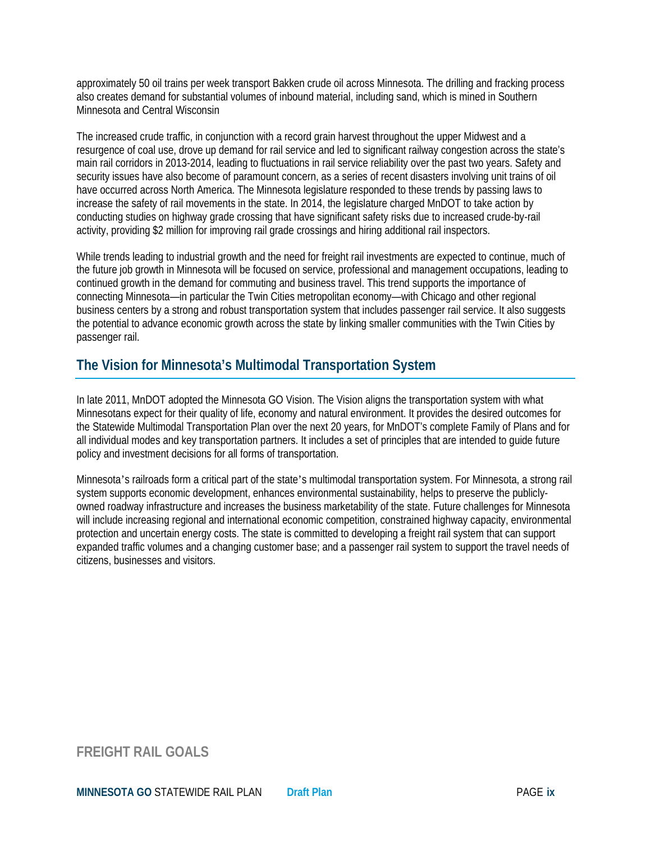approximately 50 oil trains per week transport Bakken crude oil across Minnesota. The drilling and fracking process also creates demand for substantial volumes of inbound material, including sand, which is mined in Southern Minnesota and Central Wisconsin

The increased crude traffic, in conjunction with a record grain harvest throughout the upper Midwest and a resurgence of coal use, drove up demand for rail service and led to significant railway congestion across the state's main rail corridors in 2013-2014, leading to fluctuations in rail service reliability over the past two years. Safety and security issues have also become of paramount concern, as a series of recent disasters involving unit trains of oil have occurred across North America. The Minnesota legislature responded to these trends by passing laws to increase the safety of rail movements in the state. In 2014, the legislature charged MnDOT to take action by conducting studies on highway grade crossing that have significant safety risks due to increased crude-by-rail activity, providing \$2 million for improving rail grade crossings and hiring additional rail inspectors.

While trends leading to industrial growth and the need for freight rail investments are expected to continue, much of the future job growth in Minnesota will be focused on service, professional and management occupations, leading to continued growth in the demand for commuting and business travel. This trend supports the importance of connecting Minnesota—in particular the Twin Cities metropolitan economy—with Chicago and other regional business centers by a strong and robust transportation system that includes passenger rail service. It also suggests the potential to advance economic growth across the state by linking smaller communities with the Twin Cities by passenger rail.

## **The Vision for Minnesota's Multimodal Transportation System**

In late 2011, MnDOT adopted the Minnesota GO Vision. The Vision aligns the transportation system with what Minnesotans expect for their quality of life, economy and natural environment. It provides the desired outcomes for the Statewide Multimodal Transportation Plan over the next 20 years, for MnDOT's complete Family of Plans and for all individual modes and key transportation partners. It includes a set of principles that are intended to guide future policy and investment decisions for all forms of transportation.

Minnesota's railroads form a critical part of the state's multimodal transportation system. For Minnesota, a strong rail system supports economic development, enhances environmental sustainability, helps to preserve the publiclyowned roadway infrastructure and increases the business marketability of the state. Future challenges for Minnesota will include increasing regional and international economic competition, constrained highway capacity, environmental protection and uncertain energy costs. The state is committed to developing a freight rail system that can support expanded traffic volumes and a changing customer base; and a passenger rail system to support the travel needs of citizens, businesses and visitors.

#### **FREIGHT RAIL GOALS**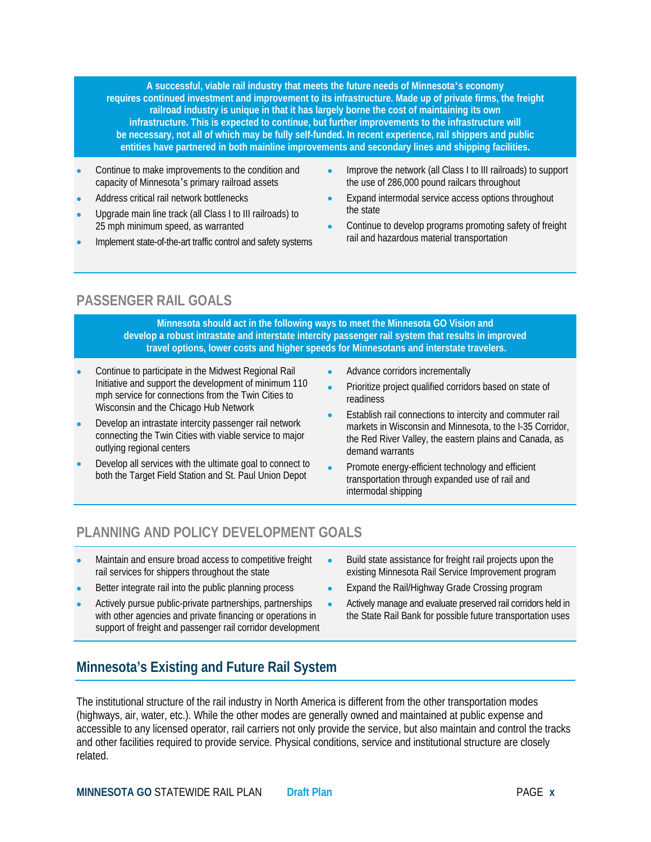**A successful, viable rail industry that meets the future needs of Minnesota's economy requires continued investment and improvement to its infrastructure. Made up of private firms, the freight railroad industry is unique in that it has largely borne the cost of maintaining its own infrastructure. This is expected to continue, but further improvements to the infrastructure will be necessary, not all of which may be fully self-funded. In recent experience, rail shippers and public entities have partnered in both mainline improvements and secondary lines and shipping facilities.**

- Continue to make improvements to the condition and capacity of Minnesota's primary railroad assets
- Address critical rail network bottlenecks
- Upgrade main line track (all Class I to III railroads) to 25 mph minimum speed, as warranted
- Implement state-of-the-art traffic control and safety systems
- Improve the network (all Class I to III railroads) to support the use of 286,000 pound railcars throughout
- Expand intermodal service access options throughout the state
- Continue to develop programs promoting safety of freight rail and hazardous material transportation

### **PASSENGER RAIL GOALS**

**Minnesota should act in the following ways to meet the Minnesota GO Vision and develop a robust intrastate and interstate intercity passenger rail system that results in improved travel options, lower costs and higher speeds for Minnesotans and interstate travelers.**

- Continue to participate in the Midwest Regional Rail Initiative and support the development of minimum 110 mph service for connections from the Twin Cities to Wisconsin and the Chicago Hub Network
- Develop an intrastate intercity passenger rail network connecting the Twin Cities with viable service to major outlying regional centers
- Develop all services with the ultimate goal to connect to both the Target Field Station and St. Paul Union Depot
- Advance corridors incrementally
- Prioritize project qualified corridors based on state of readiness
- Establish rail connections to intercity and commuter rail markets in Wisconsin and Minnesota, to the I-35 Corridor, the Red River Valley, the eastern plains and Canada, as demand warrants
- Promote energy-efficient technology and efficient transportation through expanded use of rail and intermodal shipping

# **PLANNING AND POLICY DEVELOPMENT GOALS**

- Maintain and ensure broad access to competitive freight rail services for shippers throughout the state
- Better integrate rail into the public planning process
- Actively pursue public-private partnerships, partnerships with other agencies and private financing or operations in support of freight and passenger rail corridor development
- Build state assistance for freight rail projects upon the existing Minnesota Rail Service Improvement program
- Expand the Rail/Highway Grade Crossing program
- Actively manage and evaluate preserved rail corridors held in the State Rail Bank for possible future transportation uses

# **Minnesota's Existing and Future Rail System**

The institutional structure of the rail industry in North America is different from the other transportation modes (highways, air, water, etc.). While the other modes are generally owned and maintained at public expense and accessible to any licensed operator, rail carriers not only provide the service, but also maintain and control the tracks and other facilities required to provide service. Physical conditions, service and institutional structure are closely related.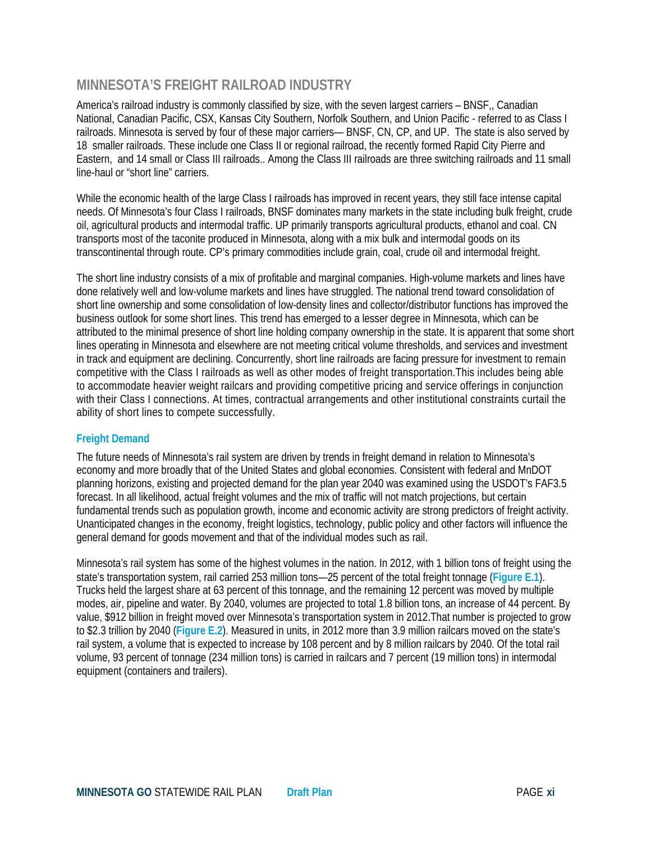#### **MINNESOTA'S FREIGHT RAILROAD INDUSTRY**

America's railroad industry is commonly classified by size, with the seven largest carriers – BNSF,, Canadian National, Canadian Pacific, CSX, Kansas City Southern, Norfolk Southern, and Union Pacific - referred to as Class I railroads. Minnesota is served by four of these major carriers— BNSF, CN, CP, and UP. The state is also served by 18 smaller railroads. These include one Class II or regional railroad, the recently formed Rapid City Pierre and Eastern, and 14 small or Class III railroads.. Among the Class III railroads are three switching railroads and 11 small line-haul or "short line" carriers.

While the economic health of the large Class I railroads has improved in recent years, they still face intense capital needs. Of Minnesota's four Class I railroads, BNSF dominates many markets in the state including bulk freight, crude oil, agricultural products and intermodal traffic. UP primarily transports agricultural products, ethanol and coal. CN transports most of the taconite produced in Minnesota, along with a mix bulk and intermodal goods on its transcontinental through route. CP's primary commodities include grain, coal, crude oil and intermodal freight.

The short line industry consists of a mix of profitable and marginal companies. High-volume markets and lines have done relatively well and low-volume markets and lines have struggled. The national trend toward consolidation of short line ownership and some consolidation of low-density lines and collector/distributor functions has improved the business outlook for some short lines. This trend has emerged to a lesser degree in Minnesota, which can be attributed to the minimal presence of short line holding company ownership in the state. It is apparent that some short lines operating in Minnesota and elsewhere are not meeting critical volume thresholds, and services and investment in track and equipment are declining. Concurrently, short line railroads are facing pressure for investment to remain competitive with the Class I railroads as well as other modes of freight transportation.This includes being able to accommodate heavier weight railcars and providing competitive pricing and service offerings in conjunction with their Class I connections. At times, contractual arrangements and other institutional constraints curtail the ability of short lines to compete successfully.

#### **Freight Demand**

The future needs of Minnesota's rail system are driven by trends in freight demand in relation to Minnesota's economy and more broadly that of the United States and global economies. Consistent with federal and MnDOT planning horizons, existing and projected demand for the plan year 2040 was examined using the USDOT's FAF3.5 forecast. In all likelihood, actual freight volumes and the mix of traffic will not match projections, but certain fundamental trends such as population growth, income and economic activity are strong predictors of freight activity. Unanticipated changes in the economy, freight logistics, technology, public policy and other factors will influence the general demand for goods movement and that of the individual modes such as rail.

Minnesota's rail system has some of the highest volumes in the nation. In 2012, with 1 billion tons of freight using the state's transportation system, rail carried 253 million tons—25 percent of the total freight tonnage (**Figure E.1**). Trucks held the largest share at 63 percent of this tonnage, and the remaining 12 percent was moved by multiple modes, air, pipeline and water. By 2040, volumes are projected to total 1.8 billion tons, an increase of 44 percent. By value, \$912 billion in freight moved over Minnesota's transportation system in 2012.That number is projected to grow to \$2.3 trillion by 2040 (**Figure E.2**). Measured in units, in 2012 more than 3.9 million railcars moved on the state's rail system, a volume that is expected to increase by 108 percent and by 8 million railcars by 2040. Of the total rail volume, 93 percent of tonnage (234 million tons) is carried in railcars and 7 percent (19 million tons) in intermodal equipment (containers and trailers).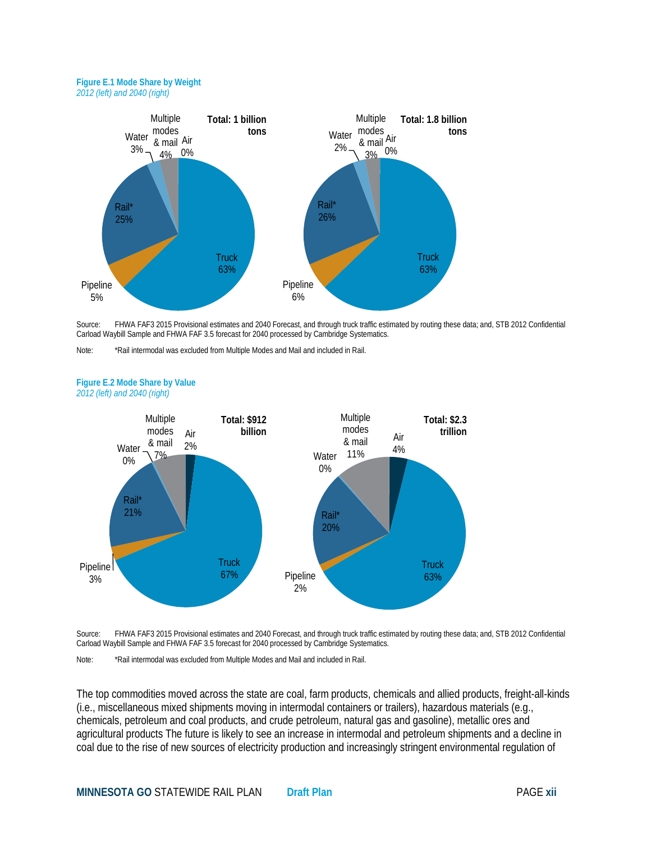#### **Figure E.1 Mode Share by Weight** *2012 (left) and 2040 (right)*



Source: FHWA FAF3 2015 Provisional estimates and 2040 Forecast, and through truck traffic estimated by routing these data; and, STB 2012 Confidential Carload Waybill Sample and FHWA FAF 3.5 forecast for 2040 processed by Cambridge Systematics.

Note: \*Rail intermodal was excluded from Multiple Modes and Mail and included in Rail.



#### **Figure E.2 Mode Share by Value** *2012 (left) and 2040 (right)*

Source: FHWA FAF3 2015 Provisional estimates and 2040 Forecast, and through truck traffic estimated by routing these data; and, STB 2012 Confidential Carload Waybill Sample and FHWA FAF 3.5 forecast for 2040 processed by Cambridge Systematics.

Note: \*Rail intermodal was excluded from Multiple Modes and Mail and included in Rail.

The top commodities moved across the state are coal, farm products, chemicals and allied products, freight-all-kinds (i.e., miscellaneous mixed shipments moving in intermodal containers or trailers), hazardous materials (e.g., chemicals, petroleum and coal products, and crude petroleum, natural gas and gasoline), metallic ores and agricultural products The future is likely to see an increase in intermodal and petroleum shipments and a decline in coal due to the rise of new sources of electricity production and increasingly stringent environmental regulation of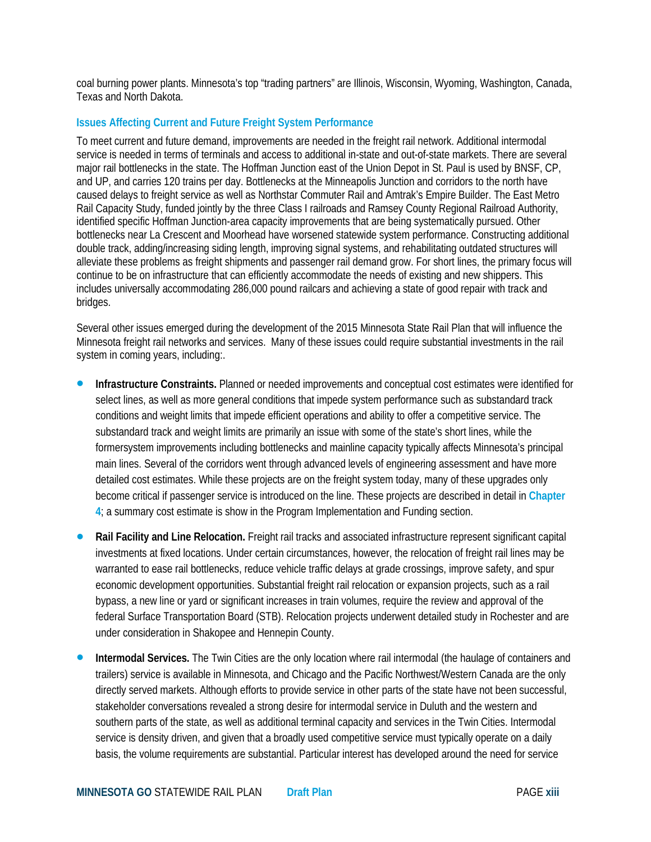coal burning power plants. Minnesota's top "trading partners" are Illinois, Wisconsin, Wyoming, Washington, Canada, Texas and North Dakota.

#### **Issues Affecting Current and Future Freight System Performance**

To meet current and future demand, improvements are needed in the freight rail network. Additional intermodal service is needed in terms of terminals and access to additional in-state and out-of-state markets. There are several major rail bottlenecks in the state. The Hoffman Junction east of the Union Depot in St. Paul is used by BNSF, CP, and UP, and carries 120 trains per day. Bottlenecks at the Minneapolis Junction and corridors to the north have caused delays to freight service as well as Northstar Commuter Rail and Amtrak's Empire Builder. The East Metro Rail Capacity Study, funded jointly by the three Class I railroads and Ramsey County Regional Railroad Authority, identified specific Hoffman Junction-area capacity improvements that are being systematically pursued. Other bottlenecks near La Crescent and Moorhead have worsened statewide system performance. Constructing additional double track, adding/increasing siding length, improving signal systems, and rehabilitating outdated structures will alleviate these problems as freight shipments and passenger rail demand grow. For short lines, the primary focus will continue to be on infrastructure that can efficiently accommodate the needs of existing and new shippers. This includes universally accommodating 286,000 pound railcars and achieving a state of good repair with track and bridges.

Several other issues emerged during the development of the 2015 Minnesota State Rail Plan that will influence the Minnesota freight rail networks and services. Many of these issues could require substantial investments in the rail system in coming years, including:.

- **Infrastructure Constraints.** Planned or needed improvements and conceptual cost estimates were identified for select lines, as well as more general conditions that impede system performance such as substandard track conditions and weight limits that impede efficient operations and ability to offer a competitive service. The substandard track and weight limits are primarily an issue with some of the state's short lines, while the formersystem improvements including bottlenecks and mainline capacity typically affects Minnesota's principal main lines. Several of the corridors went through advanced levels of engineering assessment and have more detailed cost estimates. While these projects are on the freight system today, many of these upgrades only become critical if passenger service is introduced on the line. These projects are described in detail in **Chapter 4**; a summary cost estimate is show in the Program Implementation and Funding section.
- **Rail Facility and Line Relocation.** Freight rail tracks and associated infrastructure represent significant capital investments at fixed locations. Under certain circumstances, however, the relocation of freight rail lines may be warranted to ease rail bottlenecks, reduce vehicle traffic delays at grade crossings, improve safety, and spur economic development opportunities. Substantial freight rail relocation or expansion projects, such as a rail bypass, a new line or yard or significant increases in train volumes, require the review and approval of the federal Surface Transportation Board (STB). Relocation projects underwent detailed study in Rochester and are under consideration in Shakopee and Hennepin County.
- **Intermodal Services.** The Twin Cities are the only location where rail intermodal (the haulage of containers and trailers) service is available in Minnesota, and Chicago and the Pacific Northwest/Western Canada are the only directly served markets. Although efforts to provide service in other parts of the state have not been successful, stakeholder conversations revealed a strong desire for intermodal service in Duluth and the western and southern parts of the state, as well as additional terminal capacity and services in the Twin Cities. Intermodal service is density driven, and given that a broadly used competitive service must typically operate on a daily basis, the volume requirements are substantial. Particular interest has developed around the need for service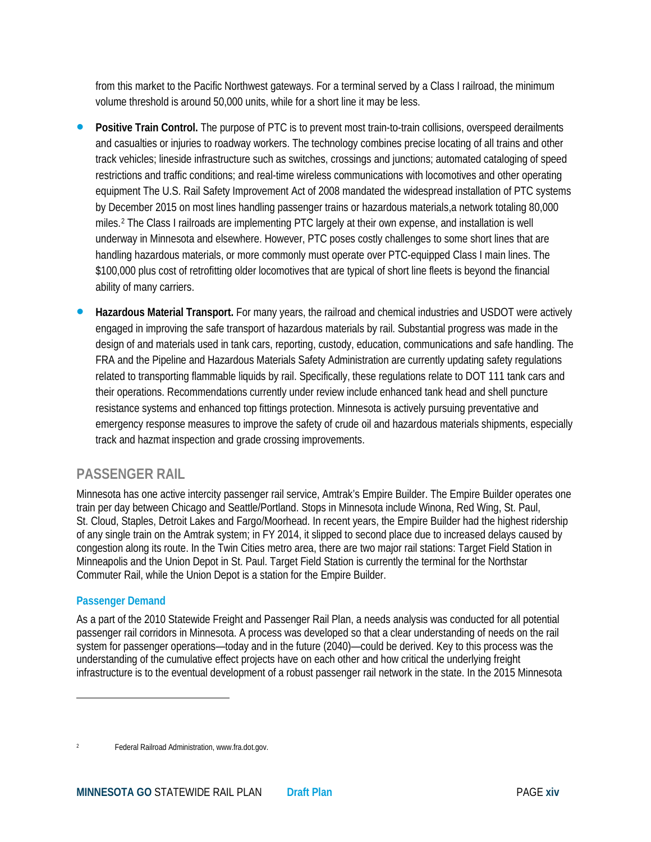from this market to the Pacific Northwest gateways. For a terminal served by a Class I railroad, the minimum volume threshold is around 50,000 units, while for a short line it may be less.

- **Positive Train Control.** The purpose of PTC is to prevent most train-to-train collisions, overspeed derailments and casualties or injuries to roadway workers. The technology combines precise locating of all trains and other track vehicles; lineside infrastructure such as switches, crossings and junctions; automated cataloging of speed restrictions and traffic conditions; and real-time wireless communications with locomotives and other operating equipment The U.S. Rail Safety Improvement Act of 2008 mandated the widespread installation of PTC systems by December 2015 on most lines handling passenger trains or hazardous materials,a network totaling 80,000 miles.[2](#page-7-0) The Class I railroads are implementing PTC largely at their own expense, and installation is well underway in Minnesota and elsewhere. However, PTC poses costly challenges to some short lines that are handling hazardous materials, or more commonly must operate over PTC-equipped Class I main lines. The \$100,000 plus cost of retrofitting older locomotives that are typical of short line fleets is beyond the financial ability of many carriers.
- **Hazardous Material Transport.** For many years, the railroad and chemical industries and USDOT were actively engaged in improving the safe transport of hazardous materials by rail. Substantial progress was made in the design of and materials used in tank cars, reporting, custody, education, communications and safe handling. The FRA and the Pipeline and Hazardous Materials Safety Administration are currently updating safety regulations related to transporting flammable liquids by rail. Specifically, these regulations relate to DOT 111 tank cars and their operations. Recommendations currently under review include enhanced tank head and shell puncture resistance systems and enhanced top fittings protection. Minnesota is actively pursuing preventative and emergency response measures to improve the safety of crude oil and hazardous materials shipments, especially track and hazmat inspection and grade crossing improvements.

## **PASSENGER RAIL**

Minnesota has one active intercity passenger rail service, Amtrak's Empire Builder. The Empire Builder operates one train per day between Chicago and Seattle/Portland. Stops in Minnesota include Winona, Red Wing, St. Paul, St. Cloud, Staples, Detroit Lakes and Fargo/Moorhead. In recent years, the Empire Builder had the highest ridership of any single train on the Amtrak system; in FY 2014, it slipped to second place due to increased delays caused by congestion along its route. In the Twin Cities metro area, there are two major rail stations: Target Field Station in Minneapolis and the Union Depot in St. Paul. Target Field Station is currently the terminal for the Northstar Commuter Rail, while the Union Depot is a station for the Empire Builder.

#### **Passenger Demand**

l

As a part of the 2010 Statewide Freight and Passenger Rail Plan, a needs analysis was conducted for all potential passenger rail corridors in Minnesota. A process was developed so that a clear understanding of needs on the rail system for passenger operations—today and in the future (2040)—could be derived. Key to this process was the understanding of the cumulative effect projects have on each other and how critical the underlying freight infrastructure is to the eventual development of a robust passenger rail network in the state. In the 2015 Minnesota

<span id="page-7-0"></span>Federal Railroad Administration, www.fra.dot.gov.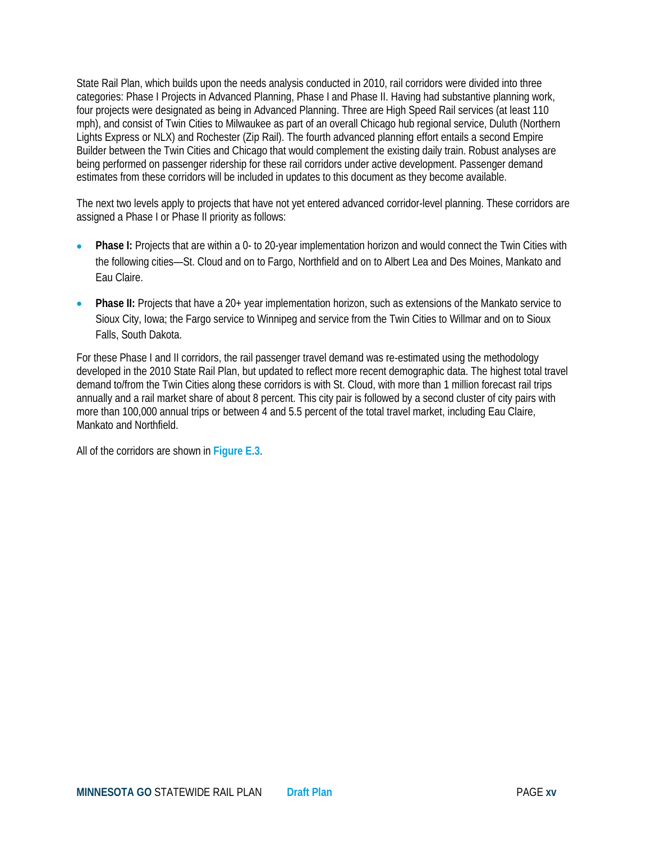State Rail Plan, which builds upon the needs analysis conducted in 2010, rail corridors were divided into three categories: Phase I Projects in Advanced Planning, Phase I and Phase II. Having had substantive planning work, four projects were designated as being in Advanced Planning. Three are High Speed Rail services (at least 110 mph), and consist of Twin Cities to Milwaukee as part of an overall Chicago hub regional service, Duluth (Northern Lights Express or NLX) and Rochester (Zip Rail). The fourth advanced planning effort entails a second Empire Builder between the Twin Cities and Chicago that would complement the existing daily train. Robust analyses are being performed on passenger ridership for these rail corridors under active development. Passenger demand estimates from these corridors will be included in updates to this document as they become available.

The next two levels apply to projects that have not yet entered advanced corridor-level planning. These corridors are assigned a Phase I or Phase II priority as follows:

- **Phase I:** Projects that are within a 0- to 20-year implementation horizon and would connect the Twin Cities with the following cities—St. Cloud and on to Fargo, Northfield and on to Albert Lea and Des Moines, Mankato and Eau Claire.
- **Phase II:** Projects that have a 20+ year implementation horizon, such as extensions of the Mankato service to Sioux City, Iowa; the Fargo service to Winnipeg and service from the Twin Cities to Willmar and on to Sioux Falls, South Dakota.

For these Phase I and II corridors, the rail passenger travel demand was re-estimated using the methodology developed in the 2010 State Rail Plan, but updated to reflect more recent demographic data. The highest total travel demand to/from the Twin Cities along these corridors is with St. Cloud, with more than 1 million forecast rail trips annually and a rail market share of about 8 percent. This city pair is followed by a second cluster of city pairs with more than 100,000 annual trips or between 4 and 5.5 percent of the total travel market, including Eau Claire, Mankato and Northfield.

All of the corridors are shown in **Figure E.3**.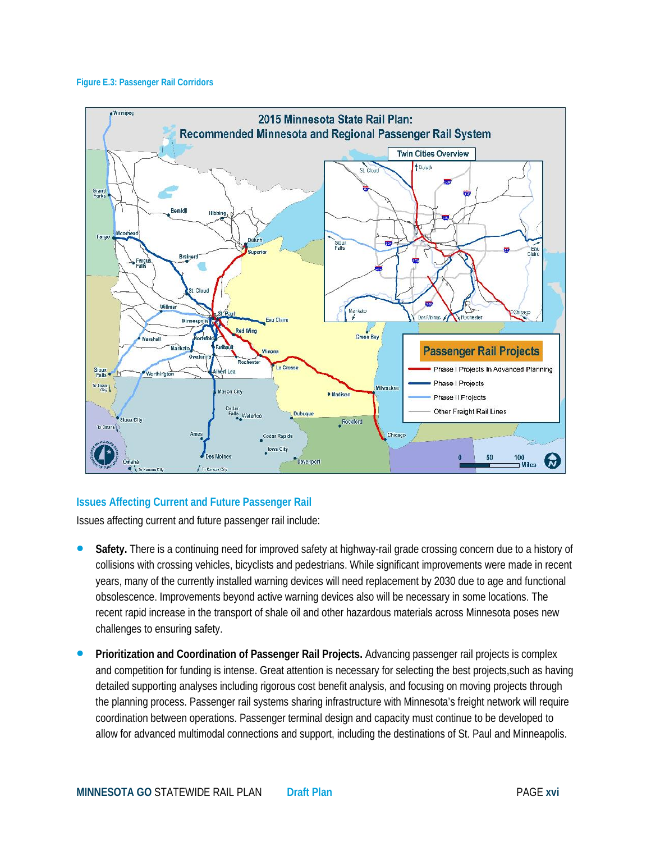#### **Figure E.3: Passenger Rail Corridors**



#### **Issues Affecting Current and Future Passenger Rail**

Issues affecting current and future passenger rail include:

- **Safety.** There is a continuing need for improved safety at highway-rail grade crossing concern due to a history of collisions with crossing vehicles, bicyclists and pedestrians. While significant improvements were made in recent years, many of the currently installed warning devices will need replacement by 2030 due to age and functional obsolescence. Improvements beyond active warning devices also will be necessary in some locations. The recent rapid increase in the transport of shale oil and other hazardous materials across Minnesota poses new challenges to ensuring safety.
- **Prioritization and Coordination of Passenger Rail Projects.** Advancing passenger rail projects is complex and competition for funding is intense. Great attention is necessary for selecting the best projects,such as having detailed supporting analyses including rigorous cost benefit analysis, and focusing on moving projects through the planning process. Passenger rail systems sharing infrastructure with Minnesota's freight network will require coordination between operations. Passenger terminal design and capacity must continue to be developed to allow for advanced multimodal connections and support, including the destinations of St. Paul and Minneapolis.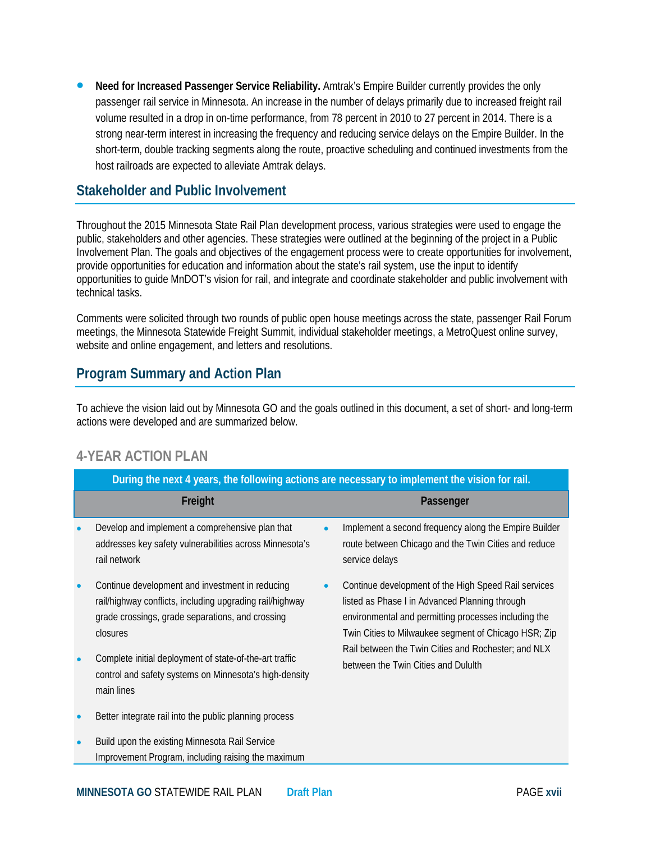**Need for Increased Passenger Service Reliability.** Amtrak's Empire Builder currently provides the only passenger rail service in Minnesota. An increase in the number of delays primarily due to increased freight rail volume resulted in a drop in on-time performance, from 78 percent in 2010 to 27 percent in 2014. There is a strong near-term interest in increasing the frequency and reducing service delays on the Empire Builder. In the short-term, double tracking segments along the route, proactive scheduling and continued investments from the host railroads are expected to alleviate Amtrak delays.

#### **Stakeholder and Public Involvement**

Throughout the 2015 Minnesota State Rail Plan development process, various strategies were used to engage the public, stakeholders and other agencies. These strategies were outlined at the beginning of the project in a Public Involvement Plan. The goals and objectives of the engagement process were to create opportunities for involvement, provide opportunities for education and information about the state's rail system, use the input to identify opportunities to guide MnDOT's vision for rail, and integrate and coordinate stakeholder and public involvement with technical tasks.

Comments were solicited through two rounds of public open house meetings across the state, passenger Rail Forum meetings, the Minnesota Statewide Freight Summit, individual stakeholder meetings, a MetroQuest online survey, website and online engagement, and letters and resolutions.

## **Program Summary and Action Plan**

To achieve the vision laid out by Minnesota GO and the goals outlined in this document, a set of short- and long-term actions were developed and are summarized below.

## **4-YEAR ACTION PLAN**

|           | During the next 4 years, the following actions are necessary to implement the vision for rail.                                                                              |           |                                                                                                                                                                                                                                                                                                                      |  |  |
|-----------|-----------------------------------------------------------------------------------------------------------------------------------------------------------------------------|-----------|----------------------------------------------------------------------------------------------------------------------------------------------------------------------------------------------------------------------------------------------------------------------------------------------------------------------|--|--|
|           | Freight                                                                                                                                                                     |           | Passenger                                                                                                                                                                                                                                                                                                            |  |  |
|           | Develop and implement a comprehensive plan that<br>addresses key safety vulnerabilities across Minnesota's<br>rail network                                                  | $\bullet$ | Implement a second frequency along the Empire Builder<br>route between Chicago and the Twin Cities and reduce<br>service delays                                                                                                                                                                                      |  |  |
| $\bullet$ | Continue development and investment in reducing<br>rail/highway conflicts, including upgrading rail/highway<br>grade crossings, grade separations, and crossing<br>closures | $\bullet$ | Continue development of the High Speed Rail services<br>listed as Phase I in Advanced Planning through<br>environmental and permitting processes including the<br>Twin Cities to Milwaukee segment of Chicago HSR; Zip<br>Rail between the Twin Cities and Rochester; and NLX<br>between the Twin Cities and Dululth |  |  |
|           | Complete initial deployment of state-of-the-art traffic<br>control and safety systems on Minnesota's high-density<br>main lines                                             |           |                                                                                                                                                                                                                                                                                                                      |  |  |
|           | Better integrate rail into the public planning process                                                                                                                      |           |                                                                                                                                                                                                                                                                                                                      |  |  |
| $\bullet$ | Build upon the existing Minnesota Rail Service<br>Improvement Program, including raising the maximum                                                                        |           |                                                                                                                                                                                                                                                                                                                      |  |  |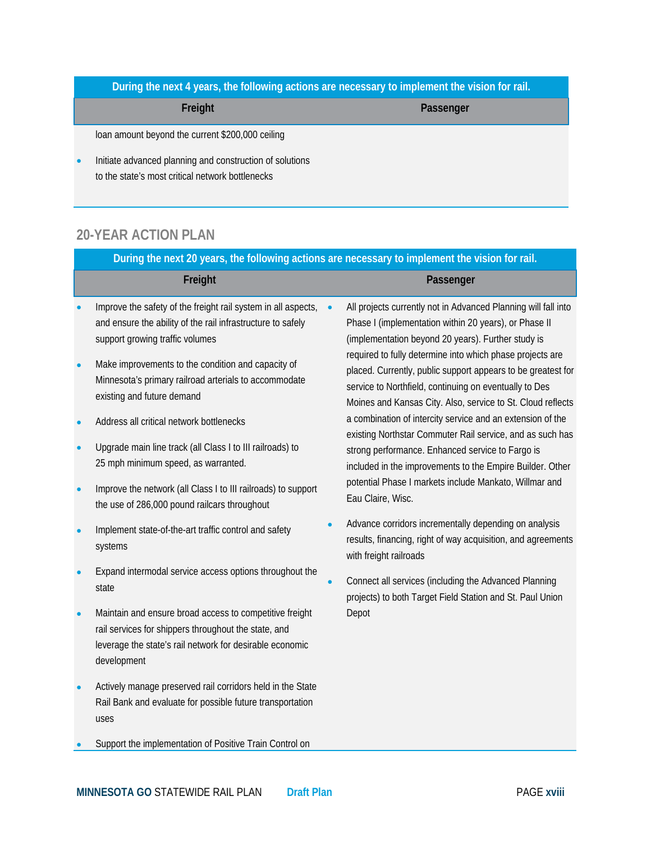**During the next 4 years, the following actions are necessary to implement the vision for rail.**

**Freight Passenger**

loan amount beyond the current \$200,000 ceiling

• Initiate advanced planning and construction of solutions to the state's most critical network bottlenecks

# **20-YEAR ACTION PLAN**

| During the next 20 years, the following actions are necessary to implement the vision for rail. |                                                                                                                                                                                            |  |                                                                                                                                                                                                                                                                                                                                                                                                                                                                                                                                                                                                                                                                                                                                                                |  |  |
|-------------------------------------------------------------------------------------------------|--------------------------------------------------------------------------------------------------------------------------------------------------------------------------------------------|--|----------------------------------------------------------------------------------------------------------------------------------------------------------------------------------------------------------------------------------------------------------------------------------------------------------------------------------------------------------------------------------------------------------------------------------------------------------------------------------------------------------------------------------------------------------------------------------------------------------------------------------------------------------------------------------------------------------------------------------------------------------------|--|--|
|                                                                                                 | Freight                                                                                                                                                                                    |  | Passenger                                                                                                                                                                                                                                                                                                                                                                                                                                                                                                                                                                                                                                                                                                                                                      |  |  |
|                                                                                                 | Improve the safety of the freight rail system in all aspects,<br>and ensure the ability of the rail infrastructure to safely<br>support growing traffic volumes                            |  | All projects currently not in Advanced Planning will fall into<br>Phase I (implementation within 20 years), or Phase II<br>(implementation beyond 20 years). Further study is<br>required to fully determine into which phase projects are<br>placed. Currently, public support appears to be greatest for<br>service to Northfield, continuing on eventually to Des<br>Moines and Kansas City. Also, service to St. Cloud reflects<br>a combination of intercity service and an extension of the<br>existing Northstar Commuter Rail service, and as such has<br>strong performance. Enhanced service to Fargo is<br>included in the improvements to the Empire Builder. Other<br>potential Phase I markets include Mankato, Willmar and<br>Eau Claire, Wisc. |  |  |
|                                                                                                 | Make improvements to the condition and capacity of<br>Minnesota's primary railroad arterials to accommodate<br>existing and future demand                                                  |  |                                                                                                                                                                                                                                                                                                                                                                                                                                                                                                                                                                                                                                                                                                                                                                |  |  |
|                                                                                                 | Address all critical network bottlenecks                                                                                                                                                   |  |                                                                                                                                                                                                                                                                                                                                                                                                                                                                                                                                                                                                                                                                                                                                                                |  |  |
|                                                                                                 | Upgrade main line track (all Class I to III railroads) to<br>25 mph minimum speed, as warranted.                                                                                           |  |                                                                                                                                                                                                                                                                                                                                                                                                                                                                                                                                                                                                                                                                                                                                                                |  |  |
|                                                                                                 | Improve the network (all Class I to III railroads) to support<br>the use of 286,000 pound railcars throughout                                                                              |  |                                                                                                                                                                                                                                                                                                                                                                                                                                                                                                                                                                                                                                                                                                                                                                |  |  |
|                                                                                                 | Implement state-of-the-art traffic control and safety<br>systems                                                                                                                           |  | Advance corridors incrementally depending on analysis<br>results, financing, right of way acquisition, and agreements<br>with freight railroads                                                                                                                                                                                                                                                                                                                                                                                                                                                                                                                                                                                                                |  |  |
|                                                                                                 | Expand intermodal service access options throughout the<br>state                                                                                                                           |  | Connect all services (including the Advanced Planning<br>projects) to both Target Field Station and St. Paul Union<br>Depot                                                                                                                                                                                                                                                                                                                                                                                                                                                                                                                                                                                                                                    |  |  |
|                                                                                                 | Maintain and ensure broad access to competitive freight<br>rail services for shippers throughout the state, and<br>leverage the state's rail network for desirable economic<br>development |  |                                                                                                                                                                                                                                                                                                                                                                                                                                                                                                                                                                                                                                                                                                                                                                |  |  |
|                                                                                                 | Actively manage preserved rail corridors held in the State<br>Rail Bank and evaluate for possible future transportation<br>uses                                                            |  |                                                                                                                                                                                                                                                                                                                                                                                                                                                                                                                                                                                                                                                                                                                                                                |  |  |

• Support the implementation of Positive Train Control on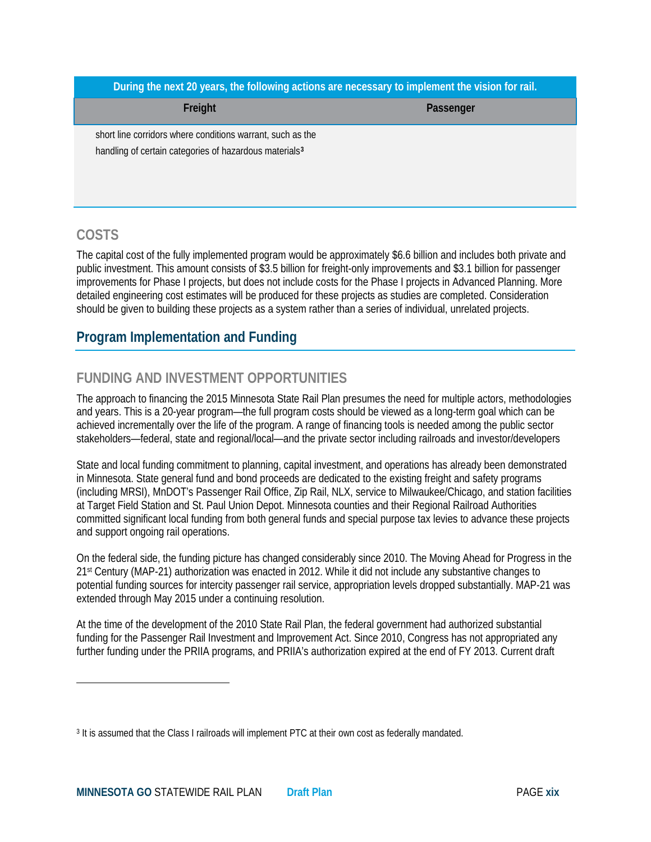**During the next 20 years, the following actions are necessary to implement the vision for rail.**

**Freight Passenger**

short line corridors where conditions warrant, such as the handling of certain categories of hazardous materials**[3](#page-12-0)**

## **COSTS**

l

The capital cost of the fully implemented program would be approximately \$6.6 billion and includes both private and public investment. This amount consists of \$3.5 billion for freight-only improvements and \$3.1 billion for passenger improvements for Phase I projects, but does not include costs for the Phase I projects in Advanced Planning. More detailed engineering cost estimates will be produced for these projects as studies are completed. Consideration should be given to building these projects as a system rather than a series of individual, unrelated projects.

# **Program Implementation and Funding**

# **FUNDING AND INVESTMENT OPPORTUNITIES**

The approach to financing the 2015 Minnesota State Rail Plan presumes the need for multiple actors, methodologies and years. This is a 20-year program—the full program costs should be viewed as a long-term goal which can be achieved incrementally over the life of the program. A range of financing tools is needed among the public sector stakeholders—federal, state and regional/local—and the private sector including railroads and investor/developers

State and local funding commitment to planning, capital investment, and operations has already been demonstrated in Minnesota. State general fund and bond proceeds are dedicated to the existing freight and safety programs (including MRSI), MnDOT's Passenger Rail Office, Zip Rail, NLX, service to Milwaukee/Chicago, and station facilities at Target Field Station and St. Paul Union Depot. Minnesota counties and their Regional Railroad Authorities committed significant local funding from both general funds and special purpose tax levies to advance these projects and support ongoing rail operations.

On the federal side, the funding picture has changed considerably since 2010. The Moving Ahead for Progress in the 21st Century (MAP-21) authorization was enacted in 2012. While it did not include any substantive changes to potential funding sources for intercity passenger rail service, appropriation levels dropped substantially. MAP-21 was extended through May 2015 under a continuing resolution.

At the time of the development of the 2010 State Rail Plan, the federal government had authorized substantial funding for the Passenger Rail Investment and Improvement Act. Since 2010, Congress has not appropriated any further funding under the PRIIA programs, and PRIIA's authorization expired at the end of FY 2013. Current draft

<span id="page-12-0"></span><sup>3</sup> It is assumed that the Class I railroads will implement PTC at their own cost as federally mandated.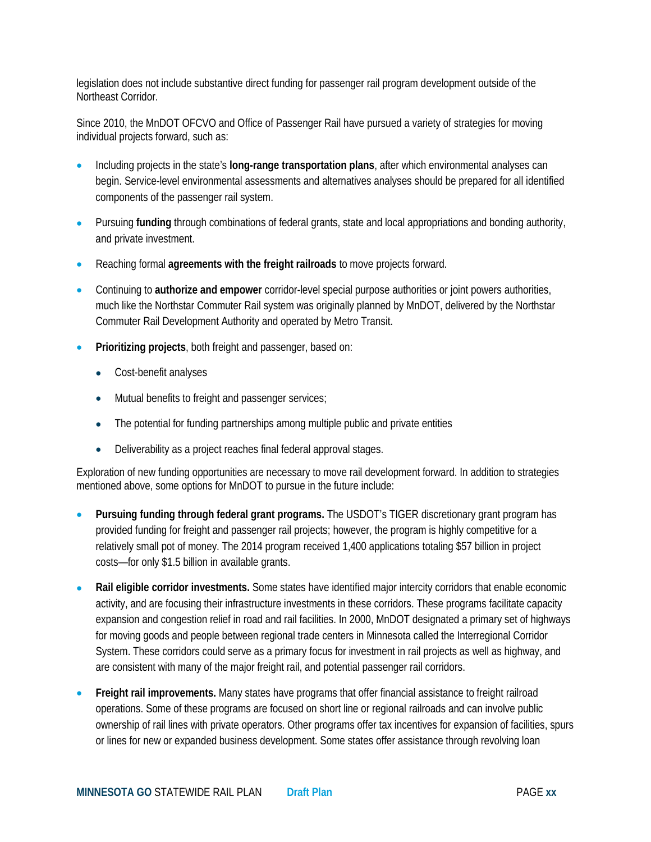legislation does not include substantive direct funding for passenger rail program development outside of the Northeast Corridor.

Since 2010, the MnDOT OFCVO and Office of Passenger Rail have pursued a variety of strategies for moving individual projects forward, such as:

- Including projects in the state's **long-range transportation plans**, after which environmental analyses can begin. Service-level environmental assessments and alternatives analyses should be prepared for all identified components of the passenger rail system.
- Pursuing **funding** through combinations of federal grants, state and local appropriations and bonding authority, and private investment.
- Reaching formal **agreements with the freight railroads** to move projects forward.
- Continuing to **authorize and empower** corridor-level special purpose authorities or joint powers authorities, much like the Northstar Commuter Rail system was originally planned by MnDOT, delivered by the Northstar Commuter Rail Development Authority and operated by Metro Transit.
- **Prioritizing projects**, both freight and passenger, based on:
	- Cost-benefit analyses
	- Mutual benefits to freight and passenger services;
	- The potential for funding partnerships among multiple public and private entities
	- Deliverability as a project reaches final federal approval stages.

Exploration of new funding opportunities are necessary to move rail development forward. In addition to strategies mentioned above, some options for MnDOT to pursue in the future include:

- **Pursuing funding through federal grant programs.** The USDOT's TIGER discretionary grant program has provided funding for freight and passenger rail projects; however, the program is highly competitive for a relatively small pot of money. The 2014 program received 1,400 applications totaling \$57 billion in project costs—for only \$1.5 billion in available grants.
- **Rail eligible corridor investments.** Some states have identified major intercity corridors that enable economic activity, and are focusing their infrastructure investments in these corridors. These programs facilitate capacity expansion and congestion relief in road and rail facilities. In 2000, MnDOT designated a primary set of highways for moving goods and people between regional trade centers in Minnesota called the Interregional Corridor System. These corridors could serve as a primary focus for investment in rail projects as well as highway, and are consistent with many of the major freight rail, and potential passenger rail corridors.
- **Freight rail improvements.** Many states have programs that offer financial assistance to freight railroad operations. Some of these programs are focused on short line or regional railroads and can involve public ownership of rail lines with private operators. Other programs offer tax incentives for expansion of facilities, spurs or lines for new or expanded business development. Some states offer assistance through revolving loan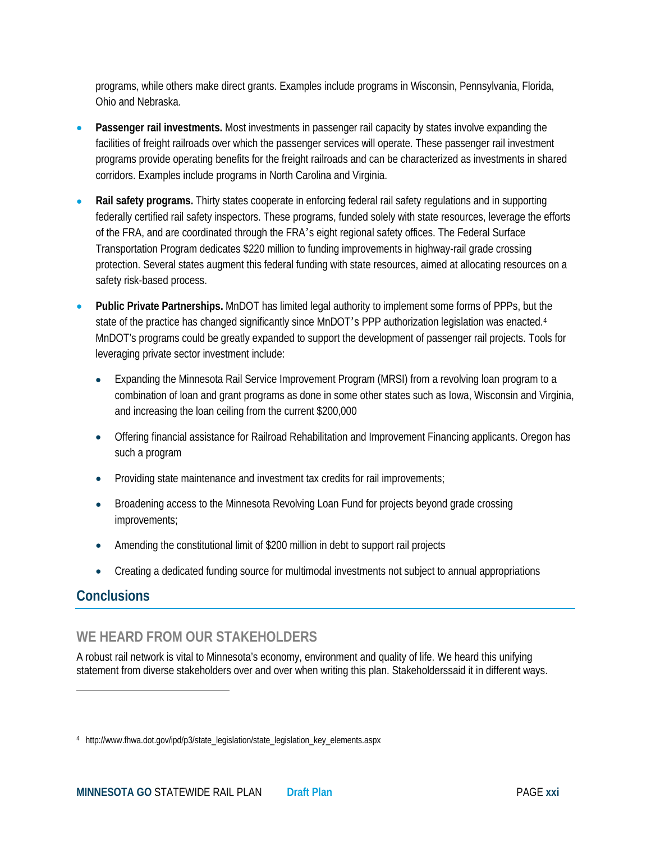programs, while others make direct grants. Examples include programs in Wisconsin, Pennsylvania, Florida, Ohio and Nebraska.

- **Passenger rail investments.** Most investments in passenger rail capacity by states involve expanding the facilities of freight railroads over which the passenger services will operate. These passenger rail investment programs provide operating benefits for the freight railroads and can be characterized as investments in shared corridors. Examples include programs in North Carolina and Virginia.
- **Rail safety programs.** Thirty states cooperate in enforcing federal rail safety regulations and in supporting federally certified rail safety inspectors. These programs, funded solely with state resources, leverage the efforts of the FRA, and are coordinated through the FRA's eight regional safety offices. The Federal Surface Transportation Program dedicates \$220 million to funding improvements in highway-rail grade crossing protection. Several states augment this federal funding with state resources, aimed at allocating resources on a safety risk-based process.
- **Public Private Partnerships.** MnDOT has limited legal authority to implement some forms of PPPs, but the state of the practice has changed significantly since MnDOT's PPP authorization legislation was enacted.<sup>[4](#page-14-0)</sup> MnDOT's programs could be greatly expanded to support the development of passenger rail projects. Tools for leveraging private sector investment include:
	- Expanding the Minnesota Rail Service Improvement Program (MRSI) from a revolving loan program to a combination of loan and grant programs as done in some other states such as Iowa, Wisconsin and Virginia, and increasing the loan ceiling from the current \$200,000
	- Offering financial assistance for Railroad Rehabilitation and Improvement Financing applicants. Oregon has such a program
	- Providing state maintenance and investment tax credits for rail improvements;
	- Broadening access to the Minnesota Revolving Loan Fund for projects beyond grade crossing improvements;
	- Amending the constitutional limit of \$200 million in debt to support rail projects
	- Creating a dedicated funding source for multimodal investments not subject to annual appropriations

## **Conclusions**

l

# **WE HEARD FROM OUR STAKEHOLDERS**

A robust rail network is vital to Minnesota's economy, environment and quality of life. We heard this unifying statement from diverse stakeholders over and over when writing this plan. Stakeholderssaid it in different ways.

<span id="page-14-0"></span><sup>4</sup> http://www.fhwa.dot.gov/ipd/p3/state\_legislation/state\_legislation\_key\_elements.aspx